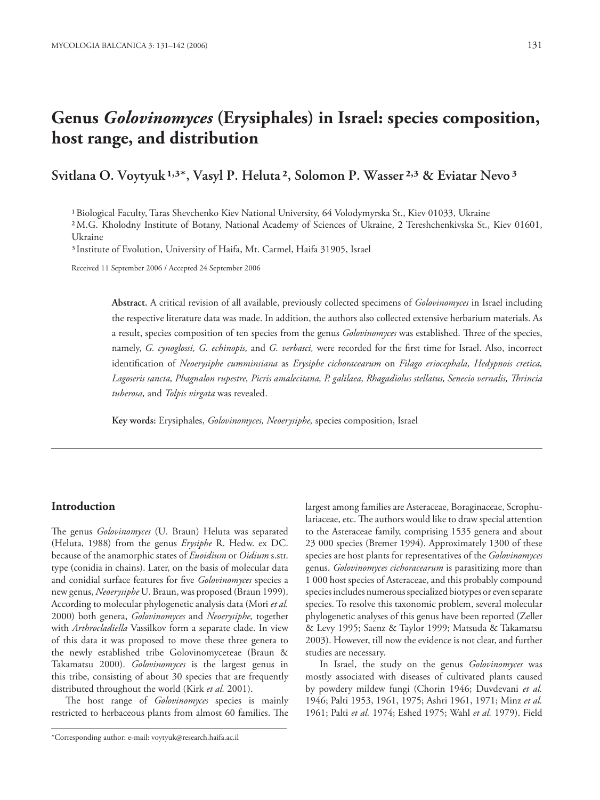# **Genus** *Golovinomyces* **(Erysiphales) in Israel: species composition, host range, and distribution**

## Svitlana O. Voytyuk <sup>1,3\*</sup>, Vasyl P. Heluta<sup>2</sup>, Solomon P. Wasser<sup>2,3</sup> & Eviatar Nevo<sup>3</sup>

<sup>1</sup> Biological Faculty, Taras Shevchenko Kiev National University, 64 Volodymyrska St., Kiev 01033, Ukraine

 M.G. Kholodny Institute of Botany, National Academy of Sciences of Ukraine, 2 Tereshchenkivska St., Kiev 01601, Ukraine

<sup>3</sup> Institute of Evolution, University of Haifa, Mt. Carmel, Haifa 31905, Israel

Received 11 September 2006 / Accepted 24 September 2006

**Abstract.** A critical revision of all available, previously collected specimens of *Golovinomyces* in Israel including the respective literature data was made. In addition, the authors also collected extensive herbarium materials. As a result, species composition of ten species from the genus *Golovinomyces* was established. Three of the species, namely, *G. cynoglossi*, *G. echinopis*, and *G. verbasci*, were recorded for the first time for Israel. Also, incorrect identifi cation of *Neoerysiphe cumminsiana* as *Erysiphe cichoracearum* on *Filago eriocephala, Hedypnois cretica, Lagoseris sancta, Phagnalon rupestre, Picris amalecitana, P. galilaea, Rhagadiolus stellatus, Senecio vernalis, Th rincia tuberosa,* and *Tolpis virgata* was revealed.

**Key words:** Erysiphales, *Golovinomyces, Neoerysiphe,* species composition, Israel

#### **Introduction**

The genus *Golovinomyces* (U. Braun) Heluta was separated (Heluta, 1988) from the genus *Erysiphe* R. Hedw. ex DC. because of the anamorphic states of *Euoidium* or *Oidium* s.str. type (conidia in chains). Later, on the basis of molecular data and conidial surface features for five *Golovinomyces* species a new genus, *Neoerysiphe* U. Braun, was proposed (Braun 1999). According to molecular phylogenetic analysis data (Mori *et al.* 2000) both genera, *Golovinomyces* and *Neoerysiphe,* together with *Arthrocladiella* Vassilkov form a separate clade. In view of this data it was proposed to move these three genera to the newly established tribe Golovinomyceteae (Braun & Takamatsu 2000). *Golovinomyces* is the largest genus in this tribe, consisting of about 30 species that are frequently distributed throughout the world (Kirk *et al.* 2001).

The host range of *Golovinomyces* species is mainly restricted to herbaceous plants from almost 60 families. The

\*Corresponding author: e-mail: voytyuk@research.haifa.ac.il

largest among families are Asteraceae, Boraginaceae, Scrophulariaceae, etc. The authors would like to draw special attention to the Asteraceae family, comprising 1535 genera and about 23 000 species (Bremer 1994). Approximately 1300 of these species are host plants for representatives of the *Golovinomyces* genus. *Golovinomyces cichoracearum* is parasitizing more than 1 000 host species of Asteraceae, and this probably compound species includes numerous specialized biotypes or even separate species. To resolve this taxonomic problem, several molecular phylogenetic analyses of this genus have been reported (Zeller & Levy 1995; Saenz & Taylor 1999; Matsuda & Takamatsu 2003). However, till now the evidence is not clear, and further studies are necessary.

In Israel, the study on the genus *Golovinomyces* was mostly associated with diseases of cultivated plants caused by powdery mildew fungi (Chorin 1946; Duvdevani *et al.* 1946; Palti 1953, 1961, 1975; Ashri 1961, 1971; Minz *et al.* 1961; Palti *et al.* 1974; Eshed 1975; Wahl *et al.* 1979). Field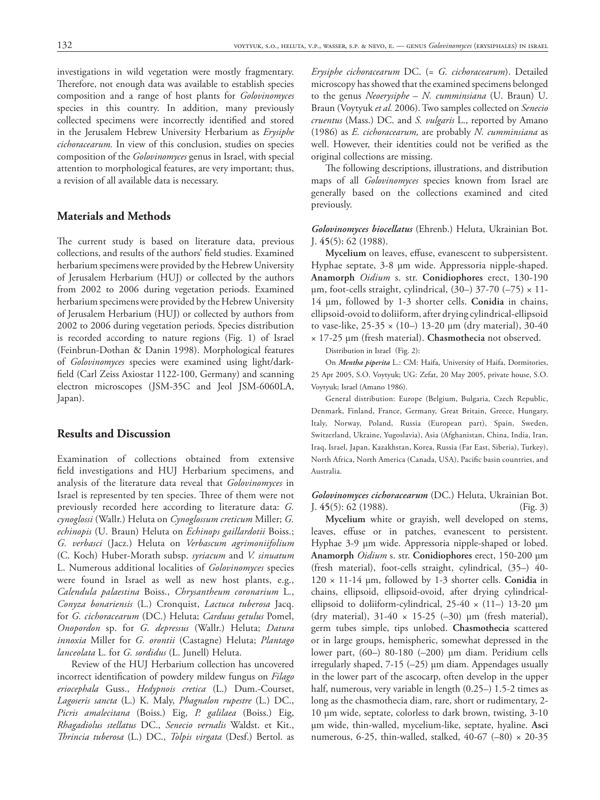investigations in wild vegetation were mostly fragmentary. Therefore, not enough data was available to establish species composition and a range of host plants for *Golovinomyces* species in this country. In addition, many previously collected specimens were incorrectly identified and stored in the Jerusalem Hebrew University Herbarium as *Erysiphe cichoracearum.* In view of this conclusion, studies on species composition of the *Golovinomyces* genus in Israel, with special attention to morphological features, are very important; thus, a revision of all available data is necessary.

### **Materials and Methods**

The current study is based on literature data, previous collections, and results of the authors' field studies. Examined herbarium specimens were provided by the Hebrew University of Jerusalem Herbarium (HUJ) or collected by the authors from 2002 to 2006 during vegetation periods. Examined herbarium specimens were provided by the Hebrew University of Jerusalem Herbarium (HUJ) or collected by authors from 2002 to 2006 during vegetation periods. Species distribution is recorded according to nature regions (Fig. 1) of Israel (Feinbrun-Dothan & Danin 1998). Morphological features of *Golovinomyces* species were examined using light/darkfield (Carl Zeiss Axiostar 1122-100, Germany) and scanning electron microscopes (JSM-35C and Jeol JSM-6060LA, Japan).

#### **Results and Discussion**

Examination of collections obtained from extensive field investigations and HUJ Herbarium specimens, and analysis of the literature data reveal that *Golovinomyces* in Israel is represented by ten species. Three of them were not previously recorded here according to literature data: *G. cynoglossi* (Wallr.) Heluta on *Cynoglossum creticum* Miller; *G. echinopis* (U. Braun) Heluta on *Echinops gaillardotii* Boiss.; *G. verbasci* (Jacz.) Heluta on *Verbascum agrimoniifolium* (C. Koch) Huber-Morath subsp. *syriacum* and *V. sinuatum*  L. Numerous additional localities of *Golovinomyces* species were found in Israel as well as new host plants, e.g., *Calendula palaestina* Boiss., *Chrysantheum coronarium* L., *Conyza bonariensis* (L.) Cronquist, *Lactuca tuberosa* Jacq. for *G. cichoracearum* (DC.) Heluta; *Carduus getulus* Pomel, *Onopordon* sp. for *G. depressus* (Wallr.) Heluta; *Datura innoxia* Miller for *G. orontii* (Castagne) Heluta; *Plantago lanceolata* L. for *G. sordidus* (L. Junell) Heluta.

Review of the HUJ Herbarium collection has uncovered incorrect identification of powdery mildew fungus on *Filago eriocephala* Guss., *Hedypnois cretica* (L.) Dum.-Courset, *Lagoseris sancta* (L.) K. Maly, *Phagnalon rupestre* (L.) DC., *Picris amalecitana* (Boiss.) Eig, *P. galilaea* (Boiss.) Eig, *Rhagadiolus stellatus* DC., *Senecio vernalis* Waldst. et Kit., *Th rincia tuberosa* (L.) DC., *Tolpis virgata* (Desf.) Bertol. as

*Erysiphe cichoracearum* DC. (= *G. cichoracearum*). Detailed microscopy has showed that the examined specimens belonged to the genus *Neoerysiphe* – *N. cumminsiana* (U. Braun) U. Braun (Voytyuk *et al.* 2006). Two samples collected on *Senecio cruentus* (Mass.) DC. and *S. vulgaris* L., reported by Amano (1986) as *E. cichoracearum,* are probably *N. cumminsiana* as well. However, their identities could not be verified as the original collections are missing.

The following descriptions, illustrations, and distribution maps of all *Golovinomyces* species known from Israel are generally based on the collections examined and cited previously.

*Golovinomyces biocellatus* (Ehrenb.) Heluta, Ukrainian Bot. J. **45**(5): 62 (1988).

Mycelium on leaves, effuse, evanescent to subpersistent. Hyphae septate, 3-8 μm wide. Appressoria nipple-shaped. **Anamorph** *Oidium* s. str. **Conidiophores** erect, 130-190 μm, foot-cells straight, cylindrical,  $(30-)$  37-70  $(-75) \times 11$ -14 μm, followed by 1-3 shorter cells. **Conidia** in chains, ellipsoid-ovoid to doliiform, after drying cylindrical-ellipsoid to vase-like, 25-35 × (10–) 13-20 μm (dry material), 30-40 × 17-25 μm (fresh material). **Chasmothecia** not observed.

Distribution in Israel (Fig. 2):

On *Mentha piperita* L.: CM: Haifa, University of Haifa, Dormitories, 25 Apr 2005, S.O. Voytyuk; UG: Zefat, 20 May 2005, private house, S.O. Voytyuk; Israel (Amano 1986).

General distribution: Europe (Belgium, Bulgaria, Czech Republic, Denmark, Finland, France, Germany, Great Britain, Greece, Hungary, Italy, Norway, Poland, Russia (European part), Spain, Sweden, Switzerland, Ukraine, Yugoslavia), Asia (Afghanistan, China, India, Iran, Iraq, Israel, Japan, Kazakhstan, Korea, Russia (Far East, Siberia), Turkey), North Africa, North America (Canada, USA), Pacific basin countries, and Australia.

*Golovinomyces cichoracearum* (DC.) Heluta, Ukrainian Bot. J. **45**(5): 62 (1988). (Fig. 3)

**Mycelium** white or grayish, well developed on stems, leaves, effuse or in patches, evanescent to persistent. Hyphae 3-9 μm wide. Appressoria nipple-shaped or lobed. **Anamorph** *Oidium* s. str. **Conidiophores** erect, 150-200 μm (fresh material), foot-cells straight, cylindrical, (35–) 40- 120 × 11-14 μm, followed by 1-3 shorter cells. **Conidia** in chains, ellipsoid, ellipsoid-ovoid, after drying cylindricalellipsoid to doliiform-cylindrical,  $25-40 \times (11-) 13-20 \mu m$ (dry material),  $31-40 \times 15-25$  (-30) μm (fresh material), germ tubes simple, tips unlobed. **Chasmothecia** scattered or in large groups, hemispheric, somewhat depressed in the lower part, (60–) 80-180 (–200) μm diam. Peridium cells irregularly shaped, 7-15 (–25) μm diam. Appendages usually in the lower part of the ascocarp, often develop in the upper half, numerous, very variable in length (0.25–) 1.5-2 times as long as the chasmothecia diam, rare, short or rudimentary, 2- 10 μm wide, septate, colorless to dark brown, twisting, 3-10 μm wide, thin-walled, mycelium-like, septate, hyaline. **Asci** numerous, 6-25, thin-walled, stalked, 40-67 (–80) × 20-35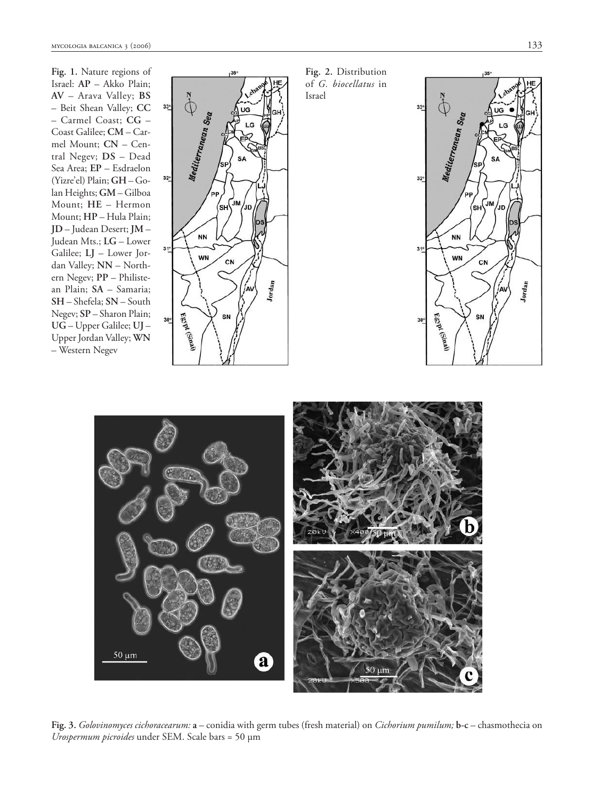**Fig. 1.** Nature regions of Israel: **AP** – Akko Plain; **AV** – Arava Valley; **BS** – Beit Shean Valley; **CC** – Carmel Coast; **CG** – Coast Galilee; **CM** – Carmel Mount; **CN** – Central Negev; **DS** – Dead Sea Area; **EP** – Esdraelon (Yizre'el) Plain; **GH** – Golan Heights; **GM** – Gilboa Mount; **HE** – Hermon Mount; **HP** – Hula Plain; **JD** – Judean Desert; **JM** – Judean Mts.; **LG** – Lower Galilee; **LJ** – Lower Jordan Valley; **NN** – Northern Negev; **PP** – Philistean Plain; **SA** – Samaria; **SH** – Shefela; **SN** – South Negev; **SP** – Sharon Plain; **UG** – Upper Galilee; **UJ** – Upper Jordan Valley; **WN** – Western Negev



**Fig. 2.** Distribution of *G. biocellatus* in Israel





**Fig. 3.** *Golovinomyces cichoracearum:* **a** – conidia with germ tubes (fresh material) on *Cichorium pumilum;* **b-c** – chasmothecia on *Urospermum picroides* under SEM. Scale bars = 50 μm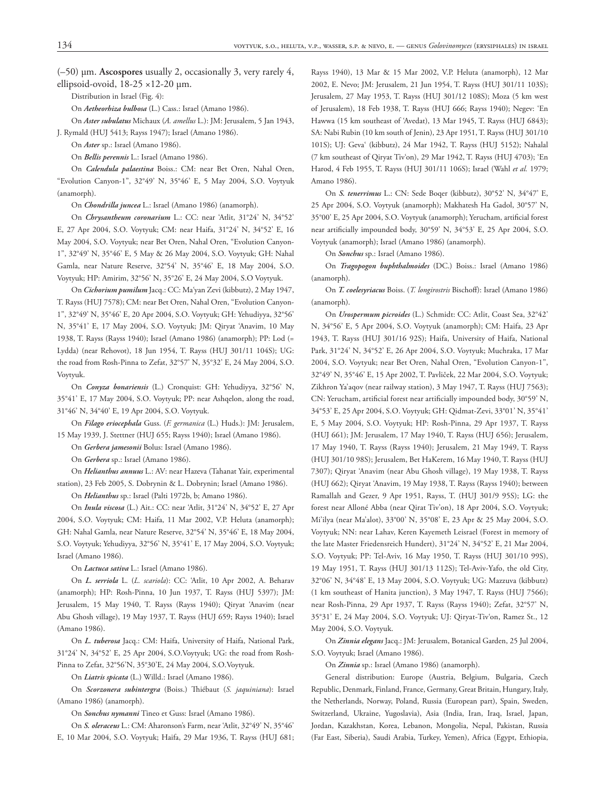(–50) μm. **Ascospores** usually 2, occasionally 3, very rarely 4, ellipsoid-ovoid, 18-25 ×12-20 μm.

Distribution in Israel (Fig. 4):

On *Aetheorhiza bulbosa* (L.) Cass.: Israel (Amano 1986).

On *Aster subulatus* Michaux (*A. amellus* L.): JM: Jerusalem, 5 Jan 1943, J. Rymald (HUJ 5413; Rayss 1947); Israel (Amano 1986).

On *Aster* sp.: Israel (Amano 1986).

On *Bellis perennis* L.: Israel (Amano 1986).

On *Calendula palaestina* Boiss.: CM: near Bet Oren, Nahal Oren, "Evolution Canyon-1", 32°49' N, 35°46' E, 5 May 2004, S.O. Voytyuk (anamorph).

On *Chondrilla juncea* L.: Israel (Amano 1986) (anamorph).

On *Chrysantheum coronarium* L.: CC: near 'Atlit, 31°24' N, 34°52' E, 27 Apr 2004, S.O. Voytyuk; CM: near Haifa, 31°24' N, 34°52' E, 16 May 2004, S.O. Voytyuk; near Bet Oren, Nahal Oren, "Evolution Canyon-1", 32°49' N, 35°46' E, 5 May & 26 May 2004, S.O. Voytyuk; GH: Nahal Gamla, near Nature Reserve, 32°54' N, 35°46' E, 18 May 2004, S.O. Voytyuk; HP: Amirim, 32°56' N, 35°26' E, 24 May 2004, S.O Voytyuk.

On *Cichorium pumilum* Jacq.: CC: Ma'yan Zevi (kibbutz), 2 May 1947, T. Rayss (HUJ 7578); CM: near Bet Oren, Nahal Oren, "Evolution Canyon-1", 32°49' N, 35°46' E, 20 Apr 2004, S.O. Voytyuk; GH: Yehudiyya, 32°56' N, 35°41' E, 17 May 2004, S.O. Voytyuk; JM: Qiryat 'Anavim, 10 May 1938, T. Rayss (Rayss 1940); Israel (Amano 1986) (anamorph); PP: Lod (= Lydda) (near Rehovot), 18 Jun 1954, T. Rayss (HUJ 301/11 104S); UG: the road from Rosh-Pinna to Zefat, 32°57' N, 35°32' E, 24 May 2004, S.O. Voytyuk.

On *Conyza bonariensis* (L.) Cronquist: GH: Yehudiyya, 32°56' N, 35°41' E, 17 May 2004, S.O. Voytyuk; PP: near Ashqelon, along the road, 31°46' N, 34°40' E, 19 Apr 2004, S.O. Voytyuk.

On *Filago eriocephala* Guss. (*F. germanica* (L.) Huds.): JM: Jerusalem, 15 May 1939, J. Stettner (HUJ 655; Rayss 1940); Israel (Amano 1986).

On *Gerbera jamesonii* Bolus: Israel (Amano 1986).

On *Gerbera* sp.: Israel (Amano 1986).

On *Helianthus annuus* L.: AV: near Hazeva (Tahanat Yair, experimental station), 23 Feb 2005, S. Dobrynin & L. Dobrynin; Israel (Amano 1986).

On *Helianthus* sp.: Israel (Palti 1972b, b; Amano 1986).

On *Inula viscosa* (L.) Ait.: CC: near 'Atlit, 31°24' N, 34°52' E, 27 Apr 2004, S.O. Voytyuk; CM: Haifa, 11 Mar 2002, V.P. Heluta (anamorph); GH: Nahal Gamla, near Nature Reserve, 32°54' N, 35°46' E, 18 May 2004, S.O. Voytyuk; Yehudiyya, 32°56' N, 35°41' E, 17 May 2004, S.O. Voytyuk; Israel (Amano 1986).

On *Lactuca sativa* L.: Israel (Amano 1986).

On *L. serriola* L. (*L. scariola*): CC: 'Atlit, 10 Apr 2002, A. Beharav (anamorph); HP: Rosh-Pinna, 10 Jun 1937, T. Rayss (HUJ 5397); JM: Jerusalem, 15 May 1940, T. Rayss (Rayss 1940); Qiryat 'Anavim (near Abu Ghosh village), 19 May 1937, T. Rayss (HUJ 659; Rayss 1940); Israel (Amano 1986).

On *L. tuberosa* Jacq.: CM: Haifa, University of Haifa, National Park, 31°24' N, 34°52' E, 25 Apr 2004, S.O.Voytyuk; UG: the road from Rosh-Pinna to Zefat, 32°56'N, 35°30'E, 24 May 2004, S.O.Voytyuk.

On *Liatris spicata* (L.) Willd.: Israel (Amano 1986).

On *Scorzonera subintergra* (Boiss.) Thiébaut (S. jaquiniana): Israel (Amano 1986) (anamorph).

On *Sonchus nymanni* Tineo et Guss: Israel (Amano 1986).

On *S. oleraceus* L.: CM: Aharonson's Farm, near 'Atlit, 32°49' N, 35°46' E, 10 Mar 2004, S.O. Voytyuk; Haifa, 29 Mar 1936, T. Rayss (HUJ 681;

Rayss 1940), 13 Mar & 15 Mar 2002, V.P. Heluta (anamorph), 12 Mar 2002, E. Nevo; JM: Jerusalem, 21 Jun 1954, T. Rayss (HUJ 301/11 103S); Jerusalem, 27 May 1953, T. Rayss (HUJ 301/12 108S); Moza (5 km west of Jerusalem), 18 Feb 1938, T. Rayss (HUJ 666; Rayss 1940); Negev: 'En Hawwa (15 km southeast of 'Avedat), 13 Mar 1945, T. Rayss (HUJ 6843); SA: Nabi Rubin (10 km south of Jenin), 23 Apr 1951, T. Rayss (HUJ 301/10 101S); UJ: Geva' (kibbutz), 24 Mar 1942, T. Rayss (HUJ 5152); Nahalal (7 km southeast of Qiryat Tiv'on), 29 Mar 1942, T. Rayss (HUJ 4703); 'En Harod, 4 Feb 1955, T. Rayss (HUJ 301/11 106S); Israel (Wahl *et al.* 1979; Amano 1986).

On *S. tenerrimus* L.: CN: Sede Boqer (kibbutz), 30°52' N, 34°47' E, 25 Apr 2004, S.O. Voytyuk (anamorph); Makhatesh Ha Gadol, 30°57' N, 35°00' E, 25 Apr 2004, S.O. Voytyuk (anamorph); Yerucham, artificial forest near artificially impounded body, 30°59' N, 34°53' E, 25 Apr 2004, S.O. Voytyuk (anamorph); Israel (Amano 1986) (anamorph).

On *Sonchus* sp.: Israel (Amano 1986).

On *Tragopogon buphthalmoides* (DC.) Boiss.: Israel (Amano 1986) (anamorph).

On *T. coelesyriacus* Boiss. (*T. longirostris* Bischoff): Israel (Amano 1986) (anamorph).

On *Urospermum picroides* (L.) Schmidt: CC: Atlit, Coast Sea, 32°42' N, 34°56' E, 5 Apr 2004, S.O. Voytyuk (anamorph); CM: Haifa, 23 Apr 1943, T. Rayss (HUJ 301/16 92S); Haifa, University of Haifa, National Park, 31°24' N, 34°52' E, 26 Apr 2004, S.O. Voytyuk; Muchraka, 17 Mar 2004, S.O. Voytyuk; near Bet Oren, Nahal Oren, "Evolution Canyon-1", 32°49' N, 35°46' E, 15 Apr 2002, T. Pavliček, 22 Mar 2004, S.O. Voytyuk; Zikhron Ya'aqov (near railway station), 3 May 1947, T. Rayss (HUJ 7563); CN: Yerucham, artificial forest near artificially impounded body, 30°59' N, 34°53' E, 25 Apr 2004, S.O. Voytyuk; GH: Qidmat-Zevi, 33°01' N, 35°41' E, 5 May 2004, S.O. Voytyuk; HP: Rosh-Pinna, 29 Apr 1937, T. Rayss (HUJ 661); JM: Jerusalem, 17 May 1940, T. Rayss (HUJ 656); Jerusalem, 17 May 1940, T. Rayss (Rayss 1940); Jerusalem, 21 May 1949, T. Rayss (HUJ 301/10 98S); Jerusalem, Bet HaKerem, 16 May 1940, T. Rayss (HUJ 7307); Qiryat 'Anavim (near Abu Ghosh village), 19 May 1938, T. Rayss (HUJ 662); Qiryat 'Anavim, 19 May 1938, T. Rayss (Rayss 1940); between Ramallah and Gezer, 9 Apr 1951, Rayss, T. (HUJ 301/9 95S); LG: the forest near Alloné Abba (near Qirat Tiv'on), 18 Apr 2004, S.O. Voytyuk; Mi'ilya (near Ma'alot), 33°00' N, 35°08' E, 23 Apr & 25 May 2004, S.O. Voytyuk; NN: near Lahav, Keren Kayemeth Leisrael (Forest in memory of the late Master Friedensreich Hundert), 31°24' N, 34°52' E, 21 Mar 2004, S.O. Voytyuk; PP: Tel-Aviv, 16 May 1950, T. Rayss (HUJ 301/10 99S), 19 May 1951, T. Rayss (HUJ 301/13 112S); Tel-Aviv-Yafo, the old City, 32°06' N, 34°48' E, 13 May 2004, S.O. Voytyuk; UG: Mazzuva (kibbutz) (1 km southeast of Hanita junction), 3 May 1947, T. Rayss (HUJ 7566); near Rosh-Pinna, 29 Apr 1937, T. Rayss (Rayss 1940); Zefat, 32°57' N, 35°31' E, 24 May 2004, S.O. Voytyuk; UJ: Qiryat-Tiv'on, Ramez St., 12 May 2004, S.O. Voytyuk.

On *Zinnia elegans* Jacq.: JM: Jerusalem, Botanical Garden, 25 Jul 2004, S.O. Voytyuk; Israel (Amano 1986).

On *Zinnia* sp.: Israel (Amano 1986) (anamorph).

General distribution: Europe (Austria, Belgium, Bulgaria, Czech Republic, Denmark, Finland, France, Germany, Great Britain, Hungary, Italy, the Netherlands, Norway, Poland, Russia (European part), Spain, Sweden, Switzerland, Ukraine, Yugoslavia), Asia (India, Iran, Iraq, Israel, Japan, Jordan, Kazakhstan, Korea, Lebanon, Mongolia, Nepal, Pakistan, Russia (Far East, Siberia), Saudi Arabia, Turkey, Yemen), Africa (Egypt, Ethiopia,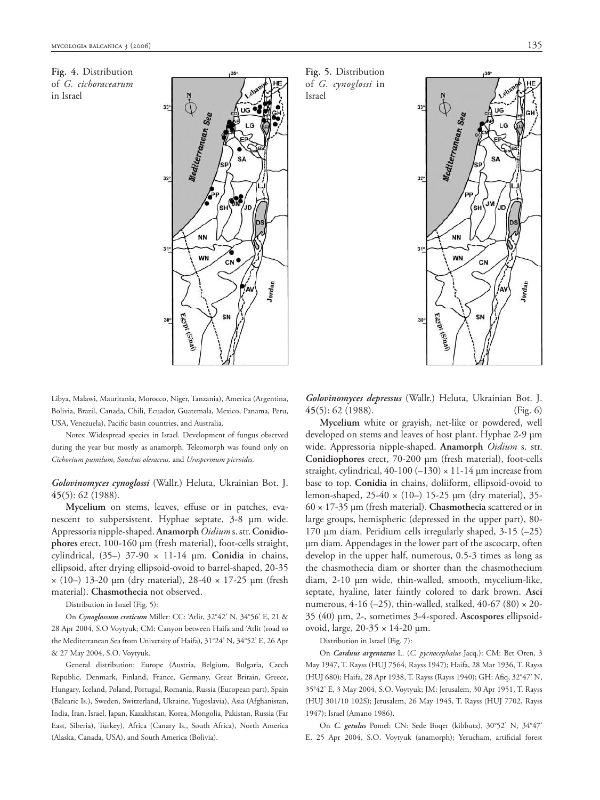**Fig. 4.** Distribution of *G. cichoracearum* in Israel



**Fig. 5.** Distribution of *G. cynoglossi* in Israel



Libya, Malawi, Mauritania, Morocco, Niger, Tanzania), America (Argentina, Bolivia, Brazil, Canada, Chili, Ecuador, Guatemala, Mexico, Panama, Peru, USA, Venezuela), Pacific basin countries, and Australia.

Notes: Widespread species in Israel. Development of fungus observed during the year but mostly as anamorph. Teleomorph was found only on *Cichorium pumilum, Sonchus oleraceus,* and *Urospermum picroides.*

*Golovinomyces cynoglossi* (Wallr.) Heluta, Ukrainian Bot. J. **45**(5): 62 (1988).

Mycelium on stems, leaves, effuse or in patches, evanescent to subpersistent. Hyphae septate, 3-8 μm wide. Appressoria nipple-shaped. **Anamorph***Oidium* s. str. **Conidiophores** erect, 100-160 μm (fresh material), foot-cells straight, cylindrical, (35–) 37-90 × 11-14 μm. **Conidia** in chains, ellipsoid, after drying ellipsoid-ovoid to barrel-shaped, 20-35  $\times$  (10–) 13-20 μm (dry material), 28-40  $\times$  17-25 μm (fresh material). **Chasmothecia** not observed.

Distribution in Israel (Fig. 5):

On *Cynoglossum creticum* Miller: CC: 'Atlit, 32°42' N, 34°56' E, 21 & 28 Apr 2004, S.O Voytyuk; CM: Canyon between Haifa and 'Atlit (road to the Mediterranean Sea from University of Haifa), 31°24' N, 34°52' E, 26 Apr & 27 May 2004, S.O. Voytyuk.

General distribution: Europe (Austria, Belgium, Bulgaria, Czech Republic, Denmark, Finland, France, Germany, Great Britain, Greece, Hungary, Iceland, Poland, Portugal, Romania, Russia (European part), Spain (Balearic Is.), Sweden, Switzerland, Ukraine, Yugoslavia), Asia (Afghanistan, India, Iran, Israel, Japan, Kazakhstan, Korea, Mongolia, Pakistan, Russia (Far East, Siberia), Turkey), Africa (Canary Is., South Africa), North America (Alaska, Canada, USA), and South America (Bolivia).

*Golovinomyces depressus* (Wallr.) Heluta, Ukrainian Bot. J. **45**(5): 62 (1988). (Fig. 6)

**Mycelium** white or grayish, net-like or powdered, well developed on stems and leaves of host plant. Hyphae 2-9 μm wide. Appressoria nipple-shaped. **Anamorph** *Oidium* s. str. **Conidiophores** erect, 70-200 μm (fresh material), foot-cells straight, cylindrical, 40-100  $(-130) \times 11$ -14 µm increase from base to top. **Conidia** in chains, doliiform, ellipsoid-ovoid to lemon-shaped, 25-40 × (10–) 15-25 μm (dry material), 35- 60 × 17-35 μm (fresh material). **Chasmothecia** scattered or in large groups, hemispheric (depressed in the upper part), 80- 170 μm diam. Peridium cells irregularly shaped, 3-15 (–25) μm diam. Appendages in the lower part of the ascocarp, often develop in the upper half, numerous, 0.5-3 times as long as the chasmothecia diam or shorter than the chasmothecium diam, 2-10 μm wide, thin-walled, smooth, mycelium-like, septate, hyaline, later faintly colored to dark brown. **Asci** numerous, 4-16 (-25), thin-walled, stalked, 40-67 (80)  $\times$  20-35 (40) μm, 2-, sometimes 3-4-spored. **Ascospores** ellipsoidovoid, large, 20-35 × 14-20 μm.

Distribution in Israel (Fig. 7):

On *Carduus argentatus* L. (*C. pycnocephalus* Jacq.): CM: Bet Oren, 3 May 1947, T. Rayss (HUJ 7564, Rayss 1947); Haifa, 28 Mar 1936, T. Rayss (HUJ 680); Haifa, 28 Apr 1938, T. Rayss (Rayss 1940); GH: Afiq, 32°47' N, 35°42' E, 3 May 2004, S.O. Voytyuk; JM: Jerusalem, 30 Apr 1951, T. Rayss (HUJ 301/10 102S); Jerusalem, 26 May 1945, T. Rayss (HUJ 7702, Rayss 1947); Israel (Amano 1986).

On *C. getulus* Pomel: CN: Sede Boqer (kibbutz), 30°52' N, 34°47' E, 25 Apr 2004, S.O. Voytyuk (anamorph); Yerucham, artificial forest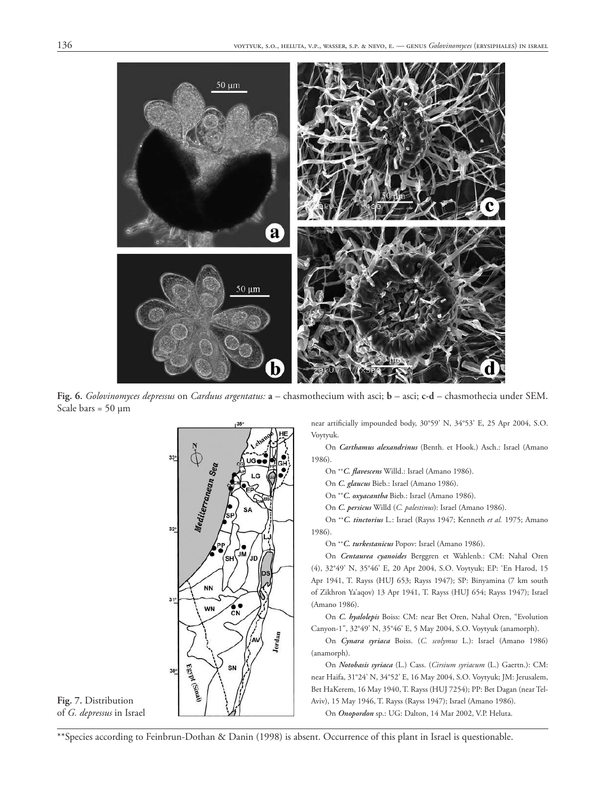

**Fig. 6.** *Golovinomyces depressus* on *Carduus argentatus:* **a** – chasmothecium with asci; **b** – asci; **c-d** – chasmothecia under SEM. Scale bars =  $50 \mu m$ 



**Fig. 7.** Distribution of *G. depressus* in Israel near artificially impounded body, 30°59' N, 34°53' E, 25 Apr 2004, S.O. Voytyuk.

On *Carthamus alexandrinus* (Benth. et Hook.) Asch.: Israel (Amano 1986).

On \*\**C. flavescens* Willd.: Israel (Amano 1986).

On *C. glaucus* Bieb.: Israel (Amano 1986).

On \*\**C. oxyacantha* Bieb.: Israel (Amano 1986).

On *C. persicus* Willd (*C. palestinus*): Israel (Amano 1986).

On \*\**C. tinctorius* L.: Israel (Rayss 1947; Kenneth *et al.* 1975; Amano 1986).

On \*\**C. turkestanicus* Popov: Israel (Amano 1986).

On *Centaurea cyanoides* Berggren et Wahlenb.: CM: Nahal Oren (4), 32°49' N, 35°46' E, 20 Apr 2004, S.O. Voytyuk; EP: 'En Harod, 15 Apr 1941, T. Rayss (HUJ 653; Rayss 1947); SP: Binyamina (7 km south of Zikhron Ya'aqov) 13 Apr 1941, T. Rayss (HUJ 654; Rayss 1947); Israel (Amano 1986).

On *C. hyalolepis* Boiss: CM: near Bet Oren, Nahal Oren, "Evolution Canyon-1", 32°49' N, 35°46' E, 5 May 2004, S.O. Voytyuk (anamorph).

On *Cynara syriaca* Boiss. (*C. scolymus* L.): Israel (Amano 1986) (anamorph).

On *Notobasis syriaca* (L.) Cass. (*Cirsium syriacum* (L.) Gaertn.): CM: near Haifa, 31°24' N, 34°52' E, 16 May 2004, S.O. Voytyuk; JM: Jerusalem, Bet HaKerem, 16 May 1940, T. Rayss (HUJ 7254); PP: Bet Dagan (near Tel-Aviv), 15 May 1946, T. Rayss (Rayss 1947); Israel (Amano 1986).

On *Onopordon* sp.: UG: Dalton, 14 Mar 2002, V.P. Heluta.

\*\*Species according to Feinbrun-Dothan & Danin (1998) is absent. Occurrence of this plant in Israel is questionable.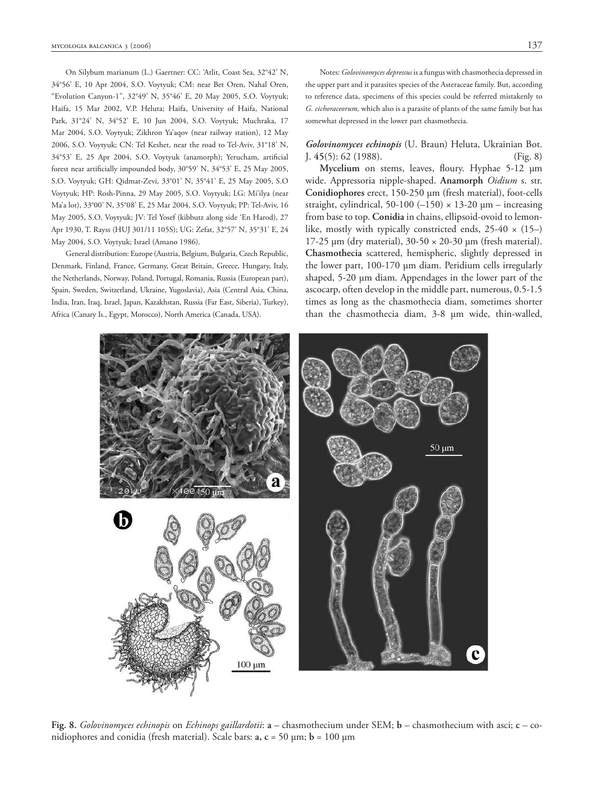On Silybum marianum (L.) Gaertner: CC: 'Atlit, Coast Sea, 32°42' N, 34°56' E, 10 Apr 2004, S.O. Voytyuk; CM: near Bet Oren, Nahal Oren, "Evolution Canyon-1", 32°49' N, 35°46' E, 20 May 2005, S.O. Voytyuk; Haifa, 15 Mar 2002, V.P. Heluta; Haifa, University of Haifa, National Park, 31°24' N, 34°52' E, 10 Jun 2004, S.O. Voytyuk; Muchraka, 17 Mar 2004, S.O. Voytyuk; Zikhron Ya'aqov (near railway station), 12 May 2006, S.O. Voytyuk; CN: Tel Keshet, near the road to Tel-Aviv, 31°18' N, 34°53' E, 25 Apr 2004, S.O. Voytyuk (anamorph); Yerucham, artificial forest near artificially impounded body, 30°59' N, 34°53' E, 25 May 2005, S.O. Voytyuk; GH: Qidmat-Zevi, 33°01' N, 35°41' E, 25 May 2005, S.O Voytyuk; HP: Rosh-Pinna, 29 May 2005, S.O. Voytyuk; LG: Mi'ilya (near Ma'a lot), 33°00' N, 35°08' E, 25 Mar 2004, S.O. Voytyuk; PP: Tel-Aviv, 16 May 2005, S.O. Voytyuk; JV: Tel Yosef (kibbutz along side 'En Harod), 27 Apr 1930, T. Rayss (HUJ 301/11 105S); UG: Zefat, 32°57' N, 35°31' E, 24 May 2004, S.O. Voytyuk; Israel (Amano 1986).

General distribution: Europe (Austria, Belgium, Bulgaria, Czech Republic, Denmark, Finland, France, Germany, Great Britain, Greece, Hungary, Italy, the Netherlands, Norway, Poland, Portugal, Romania, Russia (European part), Spain, Sweden, Switzerland, Ukraine, Yugoslavia), Asia (Central Asia, China, India, Iran, Iraq, Israel, Japan, Kazakhstan, Russia (Far East, Siberia), Turkey), Africa (Canary Is., Egypt, Morocco), North America (Canada, USA).

Notes: *Golovinomyces depressus* is a fungus with chasmothecia depressed in the upper part and it parasites species of the Asteraceae family. But, according to reference data, specimens of this species could be referred mistakenly to *G. cichoraceorum,* which also is a parasite of plants of the same family but has somewhat depressed in the lower part chasmothecia.

#### *Golovinomyces echinopis* (U. Braun) Heluta, Ukrainian Bot. J. **45**(5): 62 (1988). (Fig. 8)

**Mycelium** on stems, leaves, floury. Hyphae 5-12 μm wide. Appressoria nipple-shaped. **Anamorph** *Oidium* s. str. **Conidiophores** erect, 150-250 μm (fresh material), foot-cells straight, cylindrical, 50-100  $(-150) \times 13$ -20  $\mu$ m – increasing from base to top. **Conidia** in chains, ellipsoid-ovoid to lemonlike, mostly with typically constricted ends,  $25-40 \times (15-)$ 17-25 μm (dry material),  $30-50 \times 20-30$  μm (fresh material). **Chasmothecia** scattered, hemispheric, slightly depressed in the lower part, 100-170 μm diam. Peridium cells irregularly shaped, 5-20 μm diam. Appendages in the lower part of the ascocarp, often develop in the middle part, numerous, 0.5-1.5 times as long as the chasmothecia diam, sometimes shorter than the chasmothecia diam, 3-8 μm wide, thin-walled,



**Fig. 8.** *Golovinomyces echinopis* on *Echinops gaillardotii*: **a** – chasmothecium under SEM; **b** – chasmothecium with asci; **c** – conidiophores and conidia (fresh material). Scale bars: **a, c** = 50 μm; **b** = 100 μm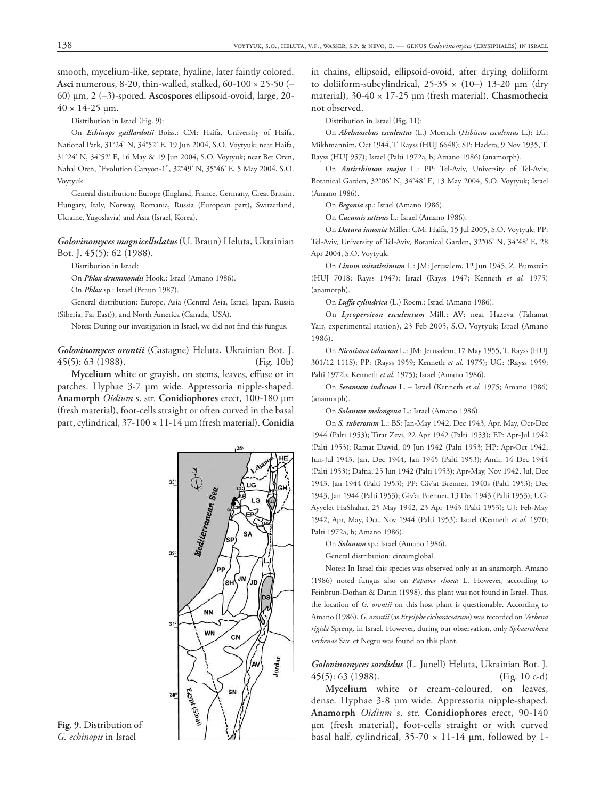smooth, mycelium-like, septate, hyaline, later faintly colored. **Asci** numerous, 8-20, thin-walled, stalked, 60-100 × 25-50 (– 60) μm, 2 (–3)-spored. **Ascospores** ellipsoid-ovoid, large, 20-  $40 \times 14 - 25 \,\mu m$ .

Distribution in Israel (Fig. 9):

On *Echinops gaillardotii* Boiss.: CM: Haifa, University of Haifa, National Park, 31°24' N, 34°52' E, 19 Jun 2004, S.O. Voytyuk; near Haifa, 31°24' N, 34°52' E, 16 May & 19 Jun 2004, S.O. Voytyuk; near Bet Oren, Nahal Oren, "Evolution Canyon-1", 32°49' N, 35°46' E, 5 May 2004, S.O. Voytyuk.

General distribution: Europe (England, France, Germany, Great Britain, Hungary, Italy, Norway, Romania, Russia (European part), Switzerland, Ukraine, Yugoslavia) and Asia (Israel, Korea).

#### *Golovinomyces magnicellulatus* (U. Braun) Heluta, Ukrainian Bot. J. **45**(5): 62 (1988).

Distribution in Israel:

On *Phlox drummondii* Hook.: Israel (Amano 1986).

On *Phlox* sp.: Israel (Braun 1987).

General distribution: Europe, Asia (Central Asia, Israel, Japan, Russia (Siberia, Far East)), and North America (Canada, USA).

Notes: During our investigation in Israel, we did not find this fungus.

*Golovinomyces orontii* (Castagne) Heluta, Ukrainian Bot. J. **45**(5): 63 (1988). (Fig. 10b)

Mycelium white or grayish, on stems, leaves, effuse or in patches. Hyphae 3-7 μm wide. Appressoria nipple-shaped. **Anamorph** *Oidium* s. str. **Conidiophores** erect, 100-180 μm (fresh material), foot-cells straight or often curved in the basal part, cylindrical, 37-100 × 11-14 μm (fresh material). **Conidia**



**Fig. 9.** Distribution of *G. echinopis* in Israel

in chains, ellipsoid, ellipsoid-ovoid, after drying doliiform to doliiform-subcylindrical,  $25-35 \times (10-) 13-20 \mu m$  (dry material), 30-40 × 17-25 μm (fresh material). **Chasmothecia** not observed.

Distribution in Israel (Fig. 11):

On *Abelmoschus esculentus* (L.) Moench (*Hibiscus esculentus* L.): LG: Mikhmannim, Oct 1944, T. Rayss (HUJ 6648); SP: Hadera, 9 Nov 1935, T. Rayss (HUJ 957); Israel (Palti 1972a, b; Amano 1986) (anamorph).

On *Antirrhinum majus* L.: PP: Tel-Aviv, University of Tel-Aviv, Botanical Garden, 32°06' N, 34°48' E, 13 May 2004, S.O. Voytyuk; Israel (Amano 1986).

On *Begonia* sp.: Israel (Amano 1986).

On *Cucumis sativus* L.: Israel (Amano 1986).

On *Datura innoxia* Miller: CM: Haifa, 15 Jul 2005, S.O. Voytyuk; PP: Tel-Aviv, University of Tel-Aviv, Botanical Garden, 32°06' N, 34°48' E, 28 Apr 2004, S.O. Voytyuk.

On *Linum usitatissimum* L.: JM: Jerusalem, 12 Jun 1945, Z. Bumstein (HUJ 7018; Rayss 1947); Israel (Rayss 1947; Kenneth *et al.* 1975) (anamorph).

On *Luffa cylindrica* (L.) Roem.: Israel (Amano 1986).

On *Lycopersicon esculentum* Mill.: **AV**: near Hazeva (Tahanat Yair, experimental station), 23 Feb 2005, S.O. Voytyuk; Israel (Amano 1986).

On *Nicotiana tabacum* L.: JM: Jerusalem, 17 May 1955, T. Rayss (HUJ 301/12 111S); PP: (Rayss 1959; Kenneth *et al.* 1975); UG: (Rayss 1959; Palti 1972b; Kenneth *et al.* 1975); Israel (Amano 1986).

On *Sesamum indicum* L. – Israel (Kenneth *et al.* 1975; Amano 1986) (anamorph).

On *Solanum melongena* L.: Israel (Amano 1986).

On *S. tuberosum* L.: BS: Jan-May 1942, Dec 1943, Apr, May, Oct-Dec 1944 (Palti 1953); Tirat Zevi, 22 Apr 1942 (Palti 1953); EP: Apr-Jul 1942 (Palti 1953); Ramat Dawid, 09 Jun 1942 (Palti 1953; HP: Apr-Oct 1942, Jun-Jul 1943, Jan, Dec 1944, Jan 1945 (Palti 1953); Amir, 14 Dec 1944 (Palti 1953); Dafna, 25 Jun 1942 (Palti 1953); Apr-May, Nov 1942, Jul, Dec 1943, Jan 1944 (Palti 1953); PP: Giv'at Brenner, 1940s (Palti 1953); Dec 1943, Jan 1944 (Palti 1953); Giv'at Brenner, 13 Dec 1943 (Palti 1953); UG: Ayyelet HaShahar, 25 May 1942, 23 Apr 1943 (Palti 1953); UJ: Feb-May 1942, Apr, May, Oct, Nov 1944 (Palti 1953); Israel (Kenneth *et al.* 1970; Palti 1972a, b; Amano 1986).

On *Solanum* sp.: Israel (Amano 1986).

General distribution: circumglobal.

Notes: In Israel this species was observed only as an anamorph. Amano (1986) noted fungus also on *Papaver rhoeas* L. However, according to Feinbrun-Dothan & Danin (1998), this plant was not found in Israel. Thus, the location of *G. orontii* on this host plant is questionable. According to Amano (1986), *G. orontii* (as *Erysiphe cichoracearum*) was recorded on *Verbena rigida* Spreng. in Israel. However, during our observation, only *Sphaerotheca verbenae* Sav. et Negru was found on this plant.

*Golovinomyces sordidus* (L. Junell) Heluta, Ukrainian Bot. J. **45**(5): 63 (1988). (Fig. 10 c-d)

**Mycelium** white or cream-coloured, on leaves, dense. Hyphae 3-8 μm wide. Appressoria nipple-shaped. **Anamorph** *Oidium* s. str. **Conidiophores** erect, 90-140 μm (fresh material), foot-cells straight or with curved basal half, cylindrical,  $35-70 \times 11-14$  µm, followed by 1-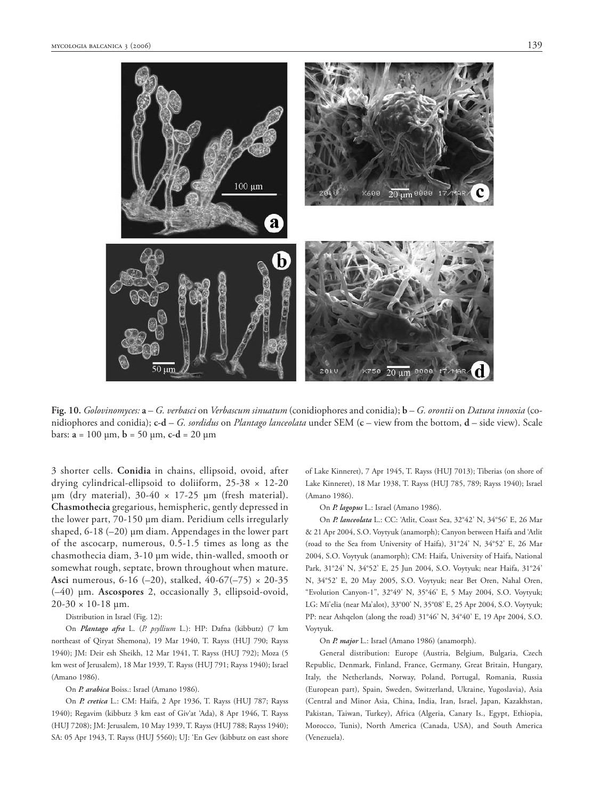



**Fig. 10.** *Golovinomyces:* **a** – *G. verbasci* on *Verbascum sinuatum* (conidiophores and conidia); **b** – *G. orontii* on *Datura innoxia* (conidiophores and conidia); **c-d** – *G. sordidus* on *Plantago lanceolata* under SEM (**c** – view from the bottom, **d** – side view). Scale bars: **a** = 100 μm, **b** = 50 μm, **c-d** = 20 μm

3 shorter cells. **Conidia** in chains, ellipsoid, ovoid, after drying cylindrical-ellipsoid to doliiform, 25-38 × 12-20 μm (dry material),  $30-40 \times 17-25$  μm (fresh material). **Chasmothecia** gregarious, hemispheric, gently depressed in the lower part, 70-150 μm diam. Peridium cells irregularly shaped, 6-18 (–20) μm diam. Appendages in the lower part of the ascocarp, numerous, 0.5-1.5 times as long as the chasmothecia diam, 3-10 μm wide, thin-walled, smooth or somewhat rough, septate, brown throughout when mature. **Asci** numerous, 6-16 (–20), stalked, 40-67(–75) × 20-35 (–40) μm. **Ascospores** 2, occasionally 3, ellipsoid-ovoid,  $20-30 \times 10-18$  µm.

#### Distribution in Israel (Fig. 12):

On *Plantago afra* L. (*P. psyllium* L.): HP: Dafna (kibbutz) (7 km northeast of Qiryat Shemona), 19 Mar 1940, T. Rayss (HUJ 790; Rayss 1940); JM: Deir esh Sheikh, 12 Mar 1941, T. Rayss (HUJ 792); Moza (5 km west of Jerusalem), 18 Mar 1939, T. Rayss (HUJ 791; Rayss 1940); Israel (Amano 1986).

#### On *P. arabica* Boiss.: Israel (Amano 1986).

On *P. cretica* L.: CM: Haifa, 2 Apr 1936, T. Rayss (HUJ 787; Rayss 1940); Regavim (kibbutz 3 km east of Giv'at 'Ada), 8 Apr 1946, T. Rayss (HUJ 7208); JM: Jerusalem, 10 May 1939, T. Rayss (HUJ 788; Rayss 1940); SA: 05 Apr 1943, T. Rayss (HUJ 5560); UJ: 'En Gev (kibbutz on east shore

of Lake Kinneret), 7 Apr 1945, T. Rayss (HUJ 7013); Tiberias (on shore of Lake Kinneret), 18 Mar 1938, T. Rayss (HUJ 785, 789; Rayss 1940); Israel (Amano 1986).

On *P. lagopus* L.: Israel (Amano 1986).

On *P. lanceolata* L.: CC: 'Atlit, Coast Sea, 32°42' N, 34°56' E, 26 Mar & 21 Apr 2004, S.O. Voytyuk (anamorph); Canyon between Haifa and 'Atlit (road to the Sea from University of Haifa), 31°24' N, 34°52' E, 26 Mar 2004, S.O. Voytyuk (anamorph); CM: Haifa, University of Haifa, National Park, 31°24' N, 34°52' E, 25 Jun 2004, S.O. Voytyuk; near Haifa, 31°24' N, 34°52' E, 20 May 2005, S.O. Voytyuk; near Bet Oren, Nahal Oren, "Evolution Canyon-1", 32°49' N, 35°46' E, 5 May 2004, S.O. Voytyuk; LG: Mi'elia (near Ma'alot), 33°00' N, 35°08' E, 25 Apr 2004, S.O. Voytyuk; PP: near Ashqelon (along the road) 31°46' N, 34°40' E, 19 Apr 2004, S.O. Voytyuk.

#### On *P. major* L.: Israel (Amano 1986) (anamorph).

General distribution: Europe (Austria, Belgium, Bulgaria, Czech Republic, Denmark, Finland, France, Germany, Great Britain, Hungary, Italy, the Netherlands, Norway, Poland, Portugal, Romania, Russia (European part), Spain, Sweden, Switzerland, Ukraine, Yugoslavia), Asia (Central and Minor Asia, China, India, Iran, Israel, Japan, Kazakhstan, Pakistan, Taiwan, Turkey), Africa (Algeria, Canary Is., Egypt, Ethiopia, Morocco, Tunis), North America (Canada, USA), and South America (Venezuela).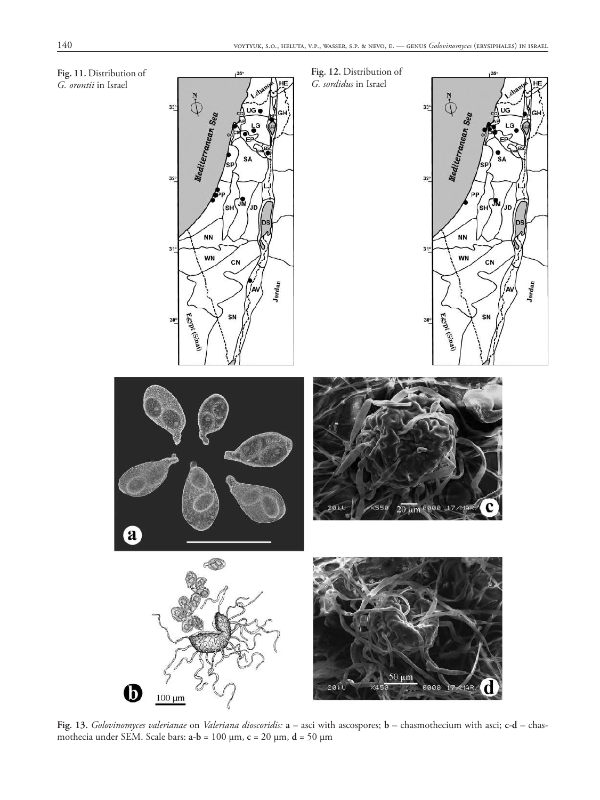

**Fig. 13.** *Golovinomyces valerianae* on *Valeriana dioscoridis:* **a** – asci with ascospores; **b** – chasmothecium with asci; **c-d** – chasmothecia under SEM. Scale bars: **a-b** = 100 μm, **c** = 20 μm, **d** = 50 μm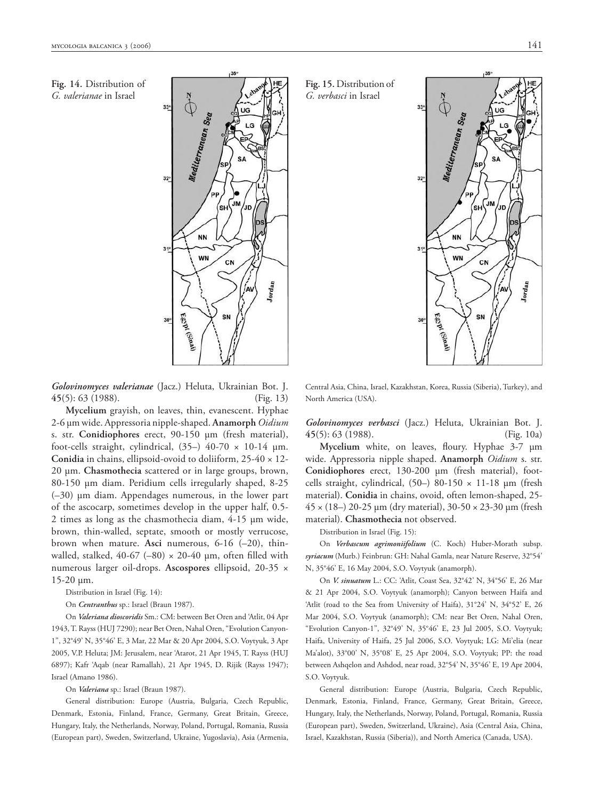**Fig. 14.** Distribution of *G. valerianae* in Israel



*Golovinomyces valerianae* (Jacz.) Heluta, Ukrainian Bot. J. **45**(5): 63 (1988). (Fig. 13)

**Mycelium** grayish, on leaves, thin, evanescent. Hyphae 2-6 μm wide. Appressoria nipple-shaped. **Anamorph** *Oidium* s. str. **Conidiophores** erect, 90-150 μm (fresh material), foot-cells straight, cylindrical,  $(35-)$  40-70  $\times$  10-14  $\mu$ m. **Conidia** in chains, ellipsoid-ovoid to doliiform, 25-40 × 12- 20 μm. **Chasmothecia** scattered or in large groups, brown, 80-150 μm diam. Peridium cells irregularly shaped, 8-25 (–30) μm diam. Appendages numerous, in the lower part of the ascocarp, sometimes develop in the upper half, 0.5- 2 times as long as the chasmothecia diam, 4-15 μm wide, brown, thin-walled, septate, smooth or mostly verrucose, brown when mature. **Asci** numerous, 6-16 (–20), thinwalled, stalked, 40-67 (–80)  $\times$  20-40 µm, often filled with numerous larger oil-drops. **Ascospores** ellipsoid, 20-35 × 15-20 μm.

Distribution in Israel (Fig. 14):

On *Centranthus* sp.: Israel (Braun 1987).

On *Valeriana dioscoridis* Sm.: CM: between Bet Oren and 'Atlit, 04 Apr 1943, T. Rayss (HUJ 7290); near Bet Oren, Nahal Oren, "Evolution Canyon-1", 32°49' N, 35°46' E, 3 Mar, 22 Mar & 20 Apr 2004, S.O. Voytyuk, 3 Apr 2005, V.P. Heluta; JM: Jerusalem, near 'Atarot, 21 Apr 1945, T. Rayss (HUJ 6897); Kafr 'Aqab (near Ramallah), 21 Apr 1945, D. Rijik (Rayss 1947); Israel (Amano 1986).

On *Valeriana* sp.: Israel (Braun 1987).

General distribution: Europe (Austria, Bulgaria, Czech Republic, Denmark, Estonia, Finland, France, Germany, Great Britain, Greece, Hungary, Italy, the Netherlands, Norway, Poland, Portugal, Romania, Russia (European part), Sweden, Switzerland, Ukraine, Yugoslavia), Asia (Armenia,

Mediterranean Sea Ũм ΄sн Jr. D. **NN**  $31$ **WN** CN Jordan Egypt (Sinal) SN

 $\ddot{\Phi}$ 

Central Asia, China, Israel, Kazakhstan, Korea, Russia (Siberia), Turkey), and North America (USA).

*Golovinomyces verbasci* (Jacz.) Heluta, Ukrainian Bot. J. **45**(5): 63 (1988). (Fig. 10a)

**Mycelium** white, on leaves, floury. Hyphae 3-7 μm wide. Appressoria nipple shaped. **Anamorph** *Oidium* s. str. **Conidiophores** erect, 130-200 μm (fresh material), footcells straight, cylindrical, (50–) 80-150 × 11-18 μm (fresh material). **Conidia** in chains, ovoid, often lemon-shaped, 25- 45 × (18–) 20-25 μm (dry material), 30-50 × 23-30 μm (fresh material). **Chasmothecia** not observed.

Distribution in Israel (Fig. 15):

**Fig. 15.** Distribution of *G. verbasci* in Israel

On *Verbascum agrimoniifolium* (C. Koch) Huber-Morath subsp. *syriacum* (Murb.) Feinbrun: GH: Nahal Gamla, near Nature Reserve, 32°54' N, 35°46' E, 16 May 2004, S.O. Voytyuk (anamorph).

On *V. sinuatum* L.: CC: 'Atlit, Coast Sea, 32°42' N, 34°56' E, 26 Mar & 21 Apr 2004, S.O. Voytyuk (anamorph); Canyon between Haifa and 'Atlit (road to the Sea from University of Haifa), 31°24' N, 34°52' E, 26 Mar 2004, S.O. Voytyuk (anamorph); CM: near Bet Oren, Nahal Oren, "Evolution Canyon-1", 32°49' N, 35°46' E, 23 Jul 2005, S.O. Voytyuk; Haifa, University of Haifa, 25 Jul 2006, S.O. Voytyuk; LG: Mi'elia (near Ma'alot), 33°00' N, 35°08' E, 25 Apr 2004, S.O. Voytyuk; PP: the road between Ashqelon and Ashdod, near road, 32°54' N, 35°46' E, 19 Apr 2004, S.O. Voytyuk.

General distribution: Europe (Austria, Bulgaria, Czech Republic, Denmark, Estonia, Finland, France, Germany, Great Britain, Greece, Hungary, Italy, the Netherlands, Norway, Poland, Portugal, Romania, Russia (European part), Sweden, Switzerland, Ukraine), Asia (Central Asia, China, Israel, Kazakhstan, Russia (Siberia)), and North America (Canada, USA).

 $.35<sup>°</sup>$ 

UG

SΔ